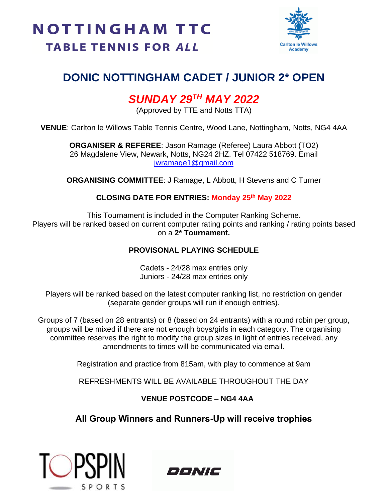

## **DONIC NOTTINGHAM CADET / JUNIOR 2\* OPEN**

## *SUNDAY 29TH MAY 2022*

(Approved by TTE and Notts TTA)

**VENUE**: Carlton le Willows Table Tennis Centre, Wood Lane, Nottingham, Notts, NG4 4AA

**ORGANISER & REFEREE**: Jason Ramage (Referee) Laura Abbott (TO2) 26 Magdalene View, Newark, Notts, NG24 2HZ. Tel 07422 518769. Email [jwramage1@gmail.com](mailto:jwramage1@gmail.com)

**ORGANISING COMMITTEE**: J Ramage, L Abbott, H Stevens and C Turner

#### **CLOSING DATE FOR ENTRIES: Monday 25th May 2022**

This Tournament is included in the Computer Ranking Scheme. Players will be ranked based on current computer rating points and ranking / rating points based on a **2\* Tournament.**

#### **PROVISONAL PLAYING SCHEDULE**

Cadets - 24/28 max entries only Juniors - 24/28 max entries only

Players will be ranked based on the latest computer ranking list, no restriction on gender (separate gender groups will run if enough entries).

Groups of 7 (based on 28 entrants) or 8 (based on 24 entrants) with a round robin per group, groups will be mixed if there are not enough boys/girls in each category. The organising committee reserves the right to modify the group sizes in light of entries received, any amendments to times will be communicated via email.

Registration and practice from 815am, with play to commence at 9am

REFRESHMENTS WILL BE AVAILABLE THROUGHOUT THE DAY

#### **VENUE POSTCODE – NG4 4AA**

#### **All Group Winners and Runners-Up will receive trophies**



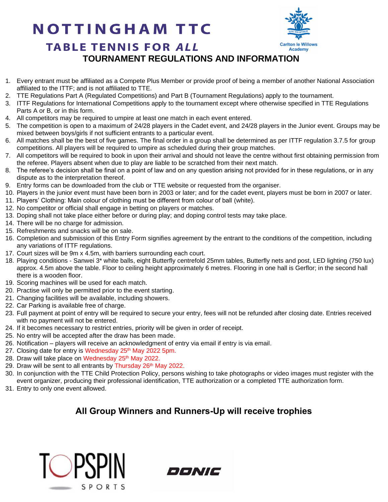# **NOTTINGHAM TTC**



### **TABLE TENNIS FOR ALL TOURNAMENT REGULATIONS AND INFORMATION**

- 1. Every entrant must be affiliated as a Compete Plus Member or provide proof of being a member of another National Association affiliated to the ITTF; and is not affiliated to TTE.
- 2. TTE Regulations Part A (Regulated Competitions) and Part B (Tournament Regulations) apply to the tournament.
- 3. ITTF Regulations for International Competitions apply to the tournament except where otherwise specified in TTE Regulations Parts A or B, or in this form.
- 4. All competitors may be required to umpire at least one match in each event entered.
- 5. The competition is open to a maximum of 24/28 players in the Cadet event, and 24/28 players in the Junior event. Groups may be mixed between boys/girls if not sufficient entrants to a particular event.
- 6. All matches shall be the best of five games. The final order in a group shall be determined as per ITTF regulation 3.7.5 for group competitions. All players will be required to umpire as scheduled during their group matches.
- 7. All competitors will be required to book in upon their arrival and should not leave the centre without first obtaining permission from the referee. Players absent when due to play are liable to be scratched from their next match.
- 8. The referee's decision shall be final on a point of law and on any question arising not provided for in these regulations, or in any dispute as to the interpretation thereof.
- 9. Entry forms can be downloaded from the club or TTE website or requested from the organiser.
- 10. Players in the junior event must have been born in 2003 or later; and for the cadet event, players must be born in 2007 or later.
- 11. Players' Clothing: Main colour of clothing must be different from colour of ball (white).
- 12. No competitor or official shall engage in betting on players or matches.
- 13. Doping shall not take place either before or during play; and doping control tests may take place.
- 14. There will be no charge for admission.
- 15. Refreshments and snacks will be on sale.
- 16. Completion and submission of this Entry Form signifies agreement by the entrant to the conditions of the competition, including any variations of ITTF regulations.
- 17. Court sizes will be 9m x 4.5m, with barriers surrounding each court.
- 18. Playing conditions Sanwei 3\* white balls, eight Butterfly centrefold 25mm tables, Butterfly nets and post, LED lighting (750 lux) approx. 4.5m above the table. Floor to ceiling height approximately 6 metres. Flooring in one hall is Gerflor; in the second hall there is a wooden floor.
- 19. Scoring machines will be used for each match.
- 20. Practise will only be permitted prior to the event starting.
- 21. Changing facilities will be available, including showers.
- 22. Car Parking is available free of charge.
- 23. Full payment at point of entry will be required to secure your entry, fees will not be refunded after closing date. Entries received with no payment will not be entered.
- 24. If it becomes necessary to restrict entries, priority will be given in order of receipt.
- 25. No entry will be accepted after the draw has been made.
- 26. Notification players will receive an acknowledgment of entry via email if entry is via email.
- 27. Closing date for entry is Wednesday 25<sup>th</sup> May 2022 5pm.
- 28. Draw will take place on Wednesday 25<sup>th</sup> May 2022.
- 29. Draw will be sent to all entrants by Thursday 26<sup>th</sup> May 2022.
- 30. In conjunction with the TTE Child Protection Policy, persons wishing to take photographs or video images must register with the event organizer, producing their professional identification, TTE authorization or a completed TTE authorization form.
- 31. Entry to only one event allowed.

#### **All Group Winners and Runners-Up will receive trophies**